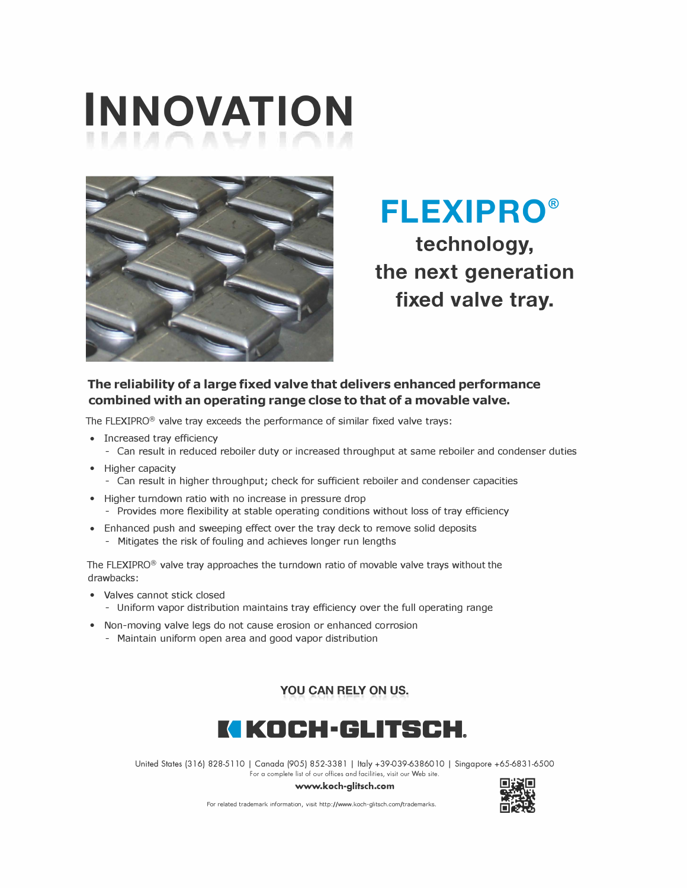# **INNOVATION**



**FLEXIPRO® technology, the next generation fixed valve tray.** 

### **The reliability of a large fixed valve that delivers enhanced performance combined with an operating range close to that of a movable valve.**

The FLEXIPRO® valve tray exceeds the performance of similar fixed valve trays:

- Increased tray efficiency
	- Can result in reduced reboiler duty or increased throughput at same reboiler and condenser duties
- Higher capacity
	- Can result in higher throughput; check for sufficient reboiler and condenser capacities
- Higher turndown ratio with no increase in pressure drop
- Provides more flexibility at stable operating conditions without loss of tray efficiency
- Enhanced push and sweeping effect over the tray deck to remove solid deposits
	- Mitigates the risk of fouling and achieves longer run lengths

The FLEXIPRO $<sup>®</sup>$  valve tray approaches the turndown ratio of movable valve trays without the</sup> drawbacks:

- Valves cannot stick closed
	- Uniform vapor distribution maintains tray efficiency over the full operating range
- Non-moving valve legs do not cause erosion or enhanced corrosion
	- Maintain uniform open area and good vapor distribution

**YOU CAN RELY ON US.** 



United States (316) 828-5110 I Canada (905) 852-3381 I Italy +39-039-6386010 I Singapore +65-6831-6500 For a complete list of our offices and facilities, visit our Web site.

**www.koch-glitsch.com** 



For related trademark information, visit http://www.koch-glitsch.com/trademarks.